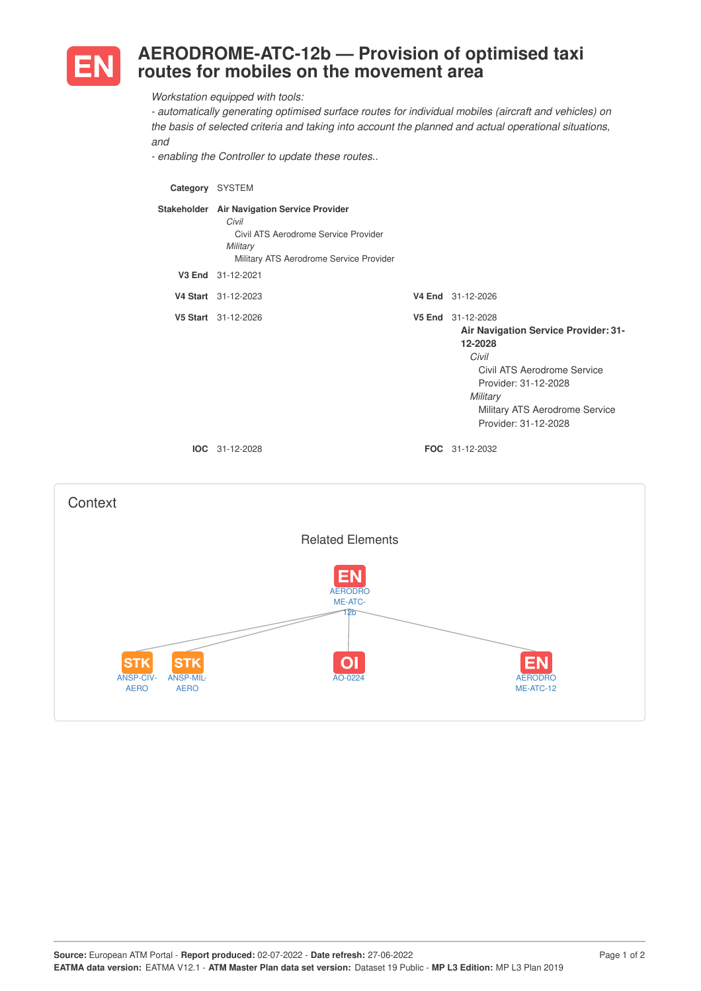

## **AERODROME-ATC-12b — Provision of optimised taxi routes for mobiles on the movement area**

*Workstation equipped with tools:*

*- automatically generating optimised surface routes for individual mobiles (aircraft and vehicles) on the basis of selected criteria and taking into account the planned and actual operational situations, and*

*- enabling the Controller to update these routes..*

**Category** SYSTEM **Stakeholder Air Navigation Service Provider** *Civil* Civil ATS Aerodrome Service Provider *Military* Military ATS Aerodrome Service Provider **V3 End** 31-12-2021 **V4 Start** 31-12-2023 **V4 End** 31-12-2026 **V5 Start** 31-12-2026 **V5 End** 31-12-2028 **Air Navigation Service Provider: 31- 12-2028** *Civil* Civil ATS Aerodrome Service Provider: 31-12-2028 *Military* Military ATS Aerodrome Service Provider: 31-12-2028 **IOC** 31-12-2028 **FOC** 31-12-2032